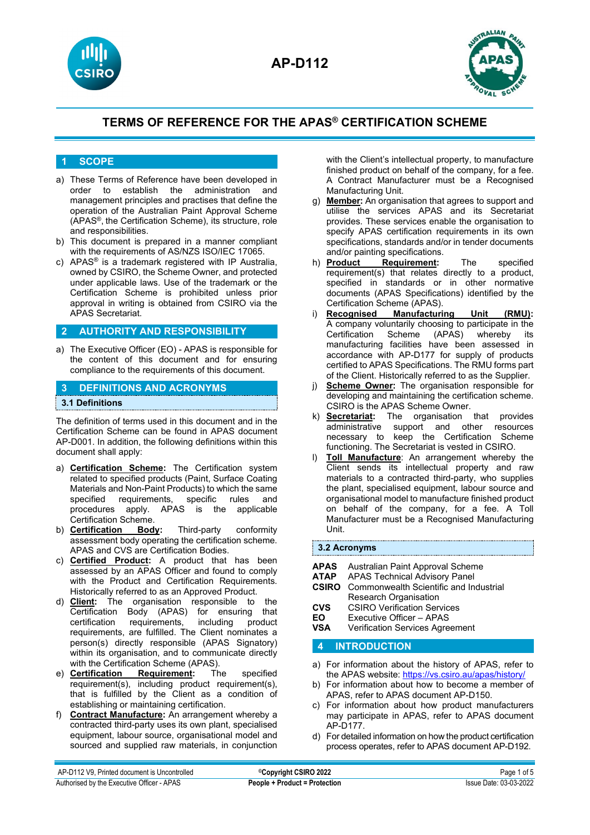



## **1 SCOPE**

- a) These Terms of Reference have been developed in order to establish the administration and management principles and practises that define the operation of the Australian Paint Approval Scheme (APAS®, the Certification Scheme), its structure, role and responsibilities.
- b) This document is prepared in a manner compliant with the requirements of AS/NZS ISO/IEC 17065.
- c) APAS® is a trademark registered with IP Australia, owned by CSIRO, the Scheme Owner, and protected under applicable laws. Use of the trademark or the Certification Scheme is prohibited unless prior approval in writing is obtained from CSIRO via the APAS Secretariat.

## **2 AUTHORITY AND RESPONSIBILITY**

a) The Executive Officer (EO) - APAS is responsible for the content of this document and for ensuring compliance to the requirements of this document.

## **3 DEFINITIONS AND ACRONYMS**

### **3.1 Definitions**

The definition of terms used in this document and in the Certification Scheme can be found in APAS document AP-D001. In addition, the following definitions within this document shall apply:

- a) **Certification Scheme:** The Certification system related to specified products (Paint, Surface Coating Materials and Non-Paint Products) to which the same specified requirements, specific rules and procedures apply. APAS is the applicable Certification Scheme.
- b) **Certification Body:** Third-party conformity assessment body operating the certification scheme. APAS and CVS are Certification Bodies.
- c) **Certified Product:** A product that has been assessed by an APAS Officer and found to comply with the Product and Certification Requirements. Historically referred to as an Approved Product.
- d) **Client:** The organisation responsible to the Certification Body (APAS) for ensuring that certification requirements, including product requirements, are fulfilled. The Client nominates a person(s) directly responsible (APAS Signatory) within its organisation, and to communicate directly with the Certification Scheme (APAS).
- e) **Certification Requirement:** The specified requirement(s), including product requirement(s), that is fulfilled by the Client as a condition of establishing or maintaining certification.
- f) **Contract Manufacture:** An arrangement whereby a contracted third-party uses its own plant, specialised equipment, labour source, organisational model and sourced and supplied raw materials, in conjunction

with the Client's intellectual property, to manufacture finished product on behalf of the company, for a fee. A Contract Manufacturer must be a Recognised Manufacturing Unit.

- g) **Member:** An organisation that agrees to support and utilise the services APAS and its Secretariat provides. These services enable the organisation to specify APAS certification requirements in its own specifications, standards and/or in tender documents and/or painting specifications.<br>
h) **Product Requirement:**
- **Requirement:** The specified requirement(s) that relates directly to a product, specified in standards or in other normative documents (APAS Specifications) identified by the Certification Scheme (APAS).<br>Recognised Manufacturi
- i) **Recognised Manufacturing Unit (RMU):** A company voluntarily choosing to participate in the Certification Scheme manufacturing facilities have been assessed in accordance with AP-D177 for supply of products certified to APAS Specifications. The RMU forms part of the Client. Historically referred to as the Supplier.
- j) **Scheme Owner:** The organisation responsible for developing and maintaining the certification scheme. CSIRO is the APAS Scheme Owner.
- k) **Secretariat:** The organisation that provides administrative support and necessary to keep the Certification Scheme functioning. The Secretariat is vested in CSIRO.
- l) **Toll Manufacture**: An arrangement whereby the Client sends its intellectual property and raw materials to a contracted third-party, who supplies the plant, specialised equipment, labour source and organisational model to manufacture finished product on behalf of the company, for a fee. A Toll Manufacturer must be a Recognised Manufacturing Unit.

### **3.2 Acronyms**

- **APAS** Australian Paint Approval Scheme
- **APAS Technical Advisory Panel**
- **CSIRO** Commonwealth Scientific and Industrial Research Organisation
- **CVS** CSIRO Verification Services<br>**EO** Executive Officer APAS
- **EO** Executive Officer APAS<br> **VSA** Verification Services Agre
- **Verification Services Agreement**

## **4 INTRODUCTION**

- a) For information about the history of APAS, refer to the APAS website[: https://vs.csiro.au/apas/history/](https://vs.csiro.au/apas/history/)
- b) For information about how to become a member of APAS, refer to APAS document AP-D150.
- c) For information about how product manufacturers may participate in APAS, refer to APAS document AP-D177.
- d) For detailed information on how the product certification process operates, refer to APAS document AP-D192.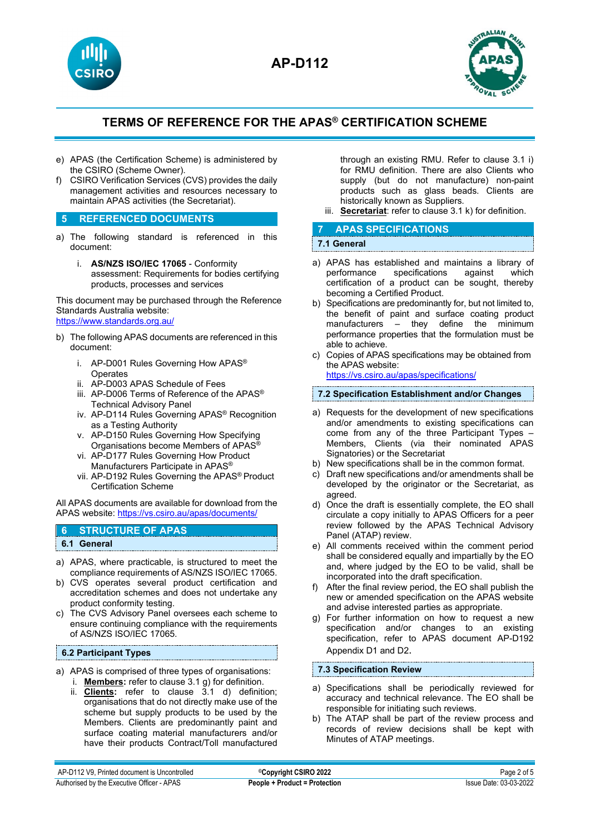



- e) APAS (the Certification Scheme) is administered by the CSIRO (Scheme Owner).
- f) CSIRO Verification Services (CVS) provides the daily management activities and resources necessary to maintain APAS activities (the Secretariat).

## **5 REFERENCED DOCUMENTS**

- a) The following standard is referenced in this document:
	- i. **AS/NZS ISO/IEC 17065** Conformity assessment: Requirements for bodies certifying products, processes and services

This document may be purchased through the Reference Standards Australia website: <https://www.standards.org.au/>

- b) The following APAS documents are referenced in this document:
	- i. AP-D001 Rules Governing How APAS<sup>®</sup> **Operates**
	- ii. AP-D003 APAS Schedule of Fees
	- iii. AP-D006 Terms of Reference of the APAS® Technical Advisory Panel
	- iv. AP-D114 Rules Governing APAS® Recognition as a Testing Authority
	- v. AP-D150 Rules Governing How Specifying Organisations become Members of APAS®
	- vi. AP-D177 Rules Governing How Product Manufacturers Participate in APAS®
	- vii. AP-D192 Rules Governing the APAS® Product Certification Scheme

All APAS documents are available for download from the APAS website: <https://vs.csiro.au/apas/documents/>

## **6 STRUCTURE OF APAS**

**6.1 General**

- a) APAS, where practicable, is structured to meet the compliance requirements of AS/NZS ISO/IEC 17065.
- b) CVS operates several product certification and accreditation schemes and does not undertake any product conformity testing.
- c) The CVS Advisory Panel oversees each scheme to ensure continuing compliance with the requirements of AS/NZS ISO/IEC 17065.

### **6.2 Participant Types**

- a) APAS is comprised of three types of organisations:
	- i. **Members:** refer to clause 3.1 g) for definition.
	- ii. **Clients:** refer to clause 3.1 d) definition; organisations that do not directly make use of the scheme but supply products to be used by the Members. Clients are predominantly paint and surface coating material manufacturers and/or have their products Contract/Toll manufactured

through an existing RMU. Refer to clause 3.1 i) for RMU definition. There are also Clients who supply (but do not manufacture) non-paint products such as glass beads. Clients are historically known as Suppliers.

iii. **Secretariat**: refer to clause 3.1 k) for definition.

## **7 APAS SPECIFICATIONS**

### **7.1 General**

- a) APAS has established and maintains a library of performance specifications against which certification of a product can be sought, thereby becoming a Certified Product.
- b) Specifications are predominantly for, but not limited to, the benefit of paint and surface coating product manufacturers – they define the minimum performance properties that the formulation must be able to achieve.
- c) Copies of APAS specifications may be obtained from the APAS website:

<https://vs.csiro.au/apas/specifications/>

**7.2 Specification Establishment and/or Changes** 

- a) Requests for the development of new specifications and/or amendments to existing specifications can come from any of the three Participant Types – Members, Clients (via their nominated APAS Signatories) or the Secretariat
- b) New specifications shall be in the common format.
- c) Draft new specifications and/or amendments shall be developed by the originator or the Secretariat, as agreed.
- d) Once the draft is essentially complete, the EO shall circulate a copy initially to APAS Officers for a peer review followed by the APAS Technical Advisory Panel (ATAP) review.
- e) All comments received within the comment period shall be considered equally and impartially by the EO and, where judged by the EO to be valid, shall be incorporated into the draft specification.
- After the final review period, the EO shall publish the new or amended specification on the APAS website and advise interested parties as appropriate.
- g) For further information on how to request a new specification and/or changes to an existing specification, refer to APAS document AP-D192 Appendix D1 and D2.

### **7.3 Specification Review**

- a) Specifications shall be periodically reviewed for accuracy and technical relevance. The EO shall be responsible for initiating such reviews.
- b) The ATAP shall be part of the review process and records of review decisions shall be kept with Minutes of ATAP meetings.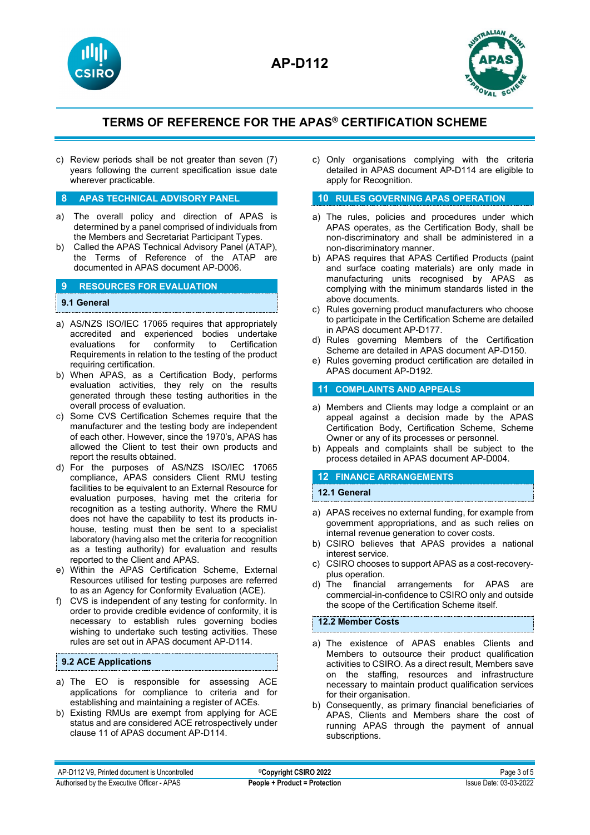



c) Review periods shall be not greater than seven (7) years following the current specification issue date wherever practicable.

### **8 APAS TECHNICAL ADVISORY PANEL**

- a) The overall policy and direction of APAS is determined by a panel comprised of individuals from the Members and Secretariat Participant Types.
- b) Called the APAS Technical Advisory Panel (ATAP), the Terms of Reference of the ATAP are documented in APAS document AP-D006.

## **9 RESOURCES FOR EVALUATION**

### **9.1 General**

- a) AS/NZS ISO/IEC 17065 requires that appropriately accredited and experienced bodies undertake evaluations for conformity to Certification Requirements in relation to the testing of the product requiring certification.
- b) When APAS, as a Certification Body, performs evaluation activities, they rely on the results generated through these testing authorities in the overall process of evaluation.
- c) Some CVS Certification Schemes require that the manufacturer and the testing body are independent of each other. However, since the 1970's, APAS has allowed the Client to test their own products and report the results obtained.
- d) For the purposes of AS/NZS ISO/IEC 17065 compliance, APAS considers Client RMU testing facilities to be equivalent to an External Resource for evaluation purposes, having met the criteria for recognition as a testing authority. Where the RMU does not have the capability to test its products inhouse, testing must then be sent to a specialist laboratory (having also met the criteria for recognition as a testing authority) for evaluation and results reported to the Client and APAS.
- e) Within the APAS Certification Scheme, External Resources utilised for testing purposes are referred to as an Agency for Conformity Evaluation (ACE).
- f) CVS is independent of any testing for conformity. In order to provide credible evidence of conformity, it is necessary to establish rules governing bodies wishing to undertake such testing activities. These rules are set out in APAS document AP-D114.

### **9.2 ACE Applications**

- a) The EO is responsible for assessing ACE applications for compliance to criteria and for establishing and maintaining a register of ACEs.
- b) Existing RMUs are exempt from applying for ACE status and are considered ACE retrospectively under clause 11 of APAS document AP-D114.

c) Only organisations complying with the criteria detailed in APAS document AP-D114 are eligible to apply for Recognition.

### **10 RULES GOVERNING APAS OPERATION**

- a) The rules, policies and procedures under which APAS operates, as the Certification Body, shall be non-discriminatory and shall be administered in a non-discriminatory manner.
- b) APAS requires that APAS Certified Products (paint and surface coating materials) are only made in manufacturing units recognised by APAS as complying with the minimum standards listed in the above documents.
- c) Rules governing product manufacturers who choose to participate in the Certification Scheme are detailed in APAS document AP-D177.
- d) Rules governing Members of the Certification Scheme are detailed in APAS document AP-D150.
- e) Rules governing product certification are detailed in APAS document AP-D192.

## **11 COMPLAINTS AND APPEALS**

- a) Members and Clients may lodge a complaint or an appeal against a decision made by the APAS Certification Body, Certification Scheme, Scheme Owner or any of its processes or personnel.
- b) Appeals and complaints shall be subject to the process detailed in APAS document AP-D004.

### **12 FINANCE ARRANGEMENTS**

### **12.1 General**

- a) APAS receives no external funding, for example from government appropriations, and as such relies on internal revenue generation to cover costs.
- b) CSIRO believes that APAS provides a national interest service.
- c) CSIRO chooses to support APAS as a cost-recoveryplus operation.<br>The financial
- d) The financial arrangements for APAS are commercial-in-confidence to CSIRO only and outside the scope of the Certification Scheme itself.

### **12.2 Member Costs**

- a) The existence of APAS enables Clients and Members to outsource their product qualification activities to CSIRO. As a direct result, Members save on the staffing, resources and infrastructure necessary to maintain product qualification services for their organisation.
- b) Consequently, as primary financial beneficiaries of APAS, Clients and Members share the cost of running APAS through the payment of annual subscriptions.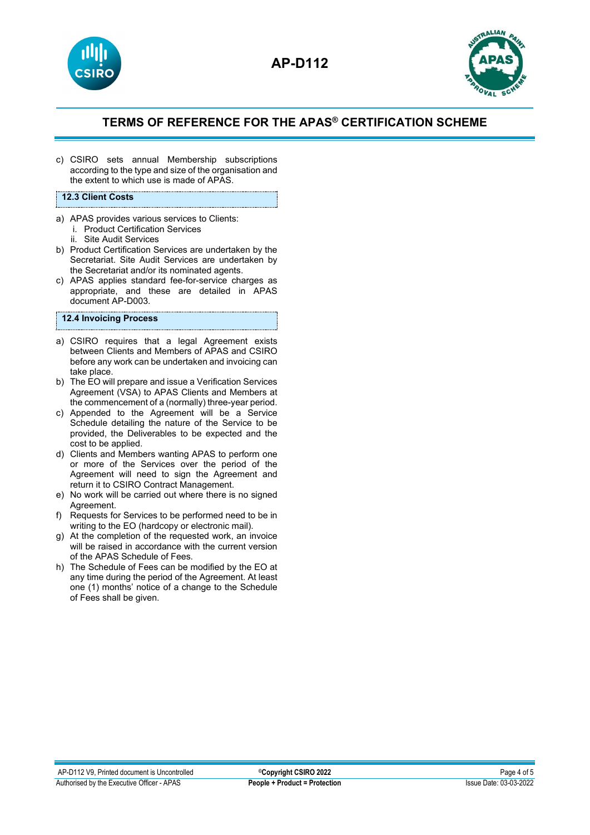



c) CSIRO sets annual Membership subscriptions according to the type and size of the organisation and the extent to which use is made of APAS.

#### **12.3 Client Costs**

- a) APAS provides various services to Clients:
	- i. Product Certification Services
	- ii. Site Audit Services
- b) Product Certification Services are undertaken by the Secretariat. Site Audit Services are undertaken by the Secretariat and/or its nominated agents.
- c) APAS applies standard fee-for-service charges as appropriate, and these are detailed in APAS document AP-D003.

## **12.4 Invoicing Process**

- a) CSIRO requires that a legal Agreement exists between Clients and Members of APAS and CSIRO before any work can be undertaken and invoicing can take place.
- b) The EO will prepare and issue a Verification Services Agreement (VSA) to APAS Clients and Members at the commencement of a (normally) three-year period.
- c) Appended to the Agreement will be a Service Schedule detailing the nature of the Service to be provided, the Deliverables to be expected and the cost to be applied.
- d) Clients and Members wanting APAS to perform one or more of the Services over the period of the Agreement will need to sign the Agreement and return it to CSIRO Contract Management.
- e) No work will be carried out where there is no signed Agreement.
- f) Requests for Services to be performed need to be in writing to the EO (hardcopy or electronic mail).
- g) At the completion of the requested work, an invoice will be raised in accordance with the current version of the APAS Schedule of Fees.
- h) The Schedule of Fees can be modified by the EO at any time during the period of the Agreement. At least one (1) months' notice of a change to the Schedule of Fees shall be given.